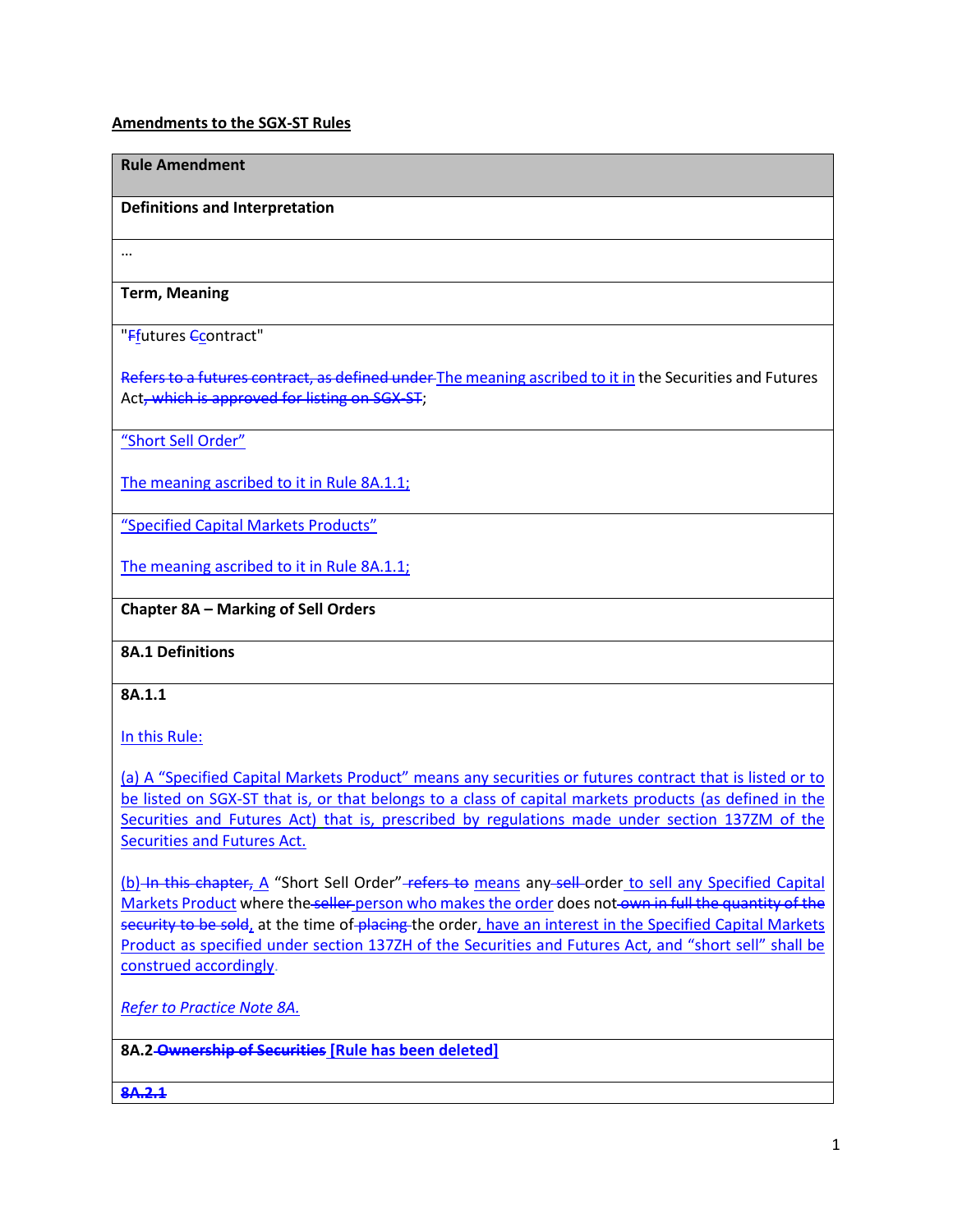# **Amendments to the SGX-ST Rules**

#### **Rule Amendment**

#### **Definitions and Interpretation**

…

# **Term, Meaning**

#### "Ffutures Ccontract"

Refers to a futures contract, as defined under The meaning ascribed to it in the Securities and Futures Act, which is approved for listing on SGX-ST;

"Short Sell Order"

The meaning ascribed to it in Rule 8A.1.1;

"Specified Capital Markets Products"

The meaning ascribed to it in Rule 8A.1.1;

# **Chapter 8A – Marking of Sell Orders**

#### **8A.1 Definitions**

#### **8A.1.1**

In this Rule:

(a) A "Specified Capital Markets Product" means any securities or futures contract that is listed or to be listed on SGX-ST that is, or that belongs to a class of capital markets products (as defined in the Securities and Futures Act) that is, prescribed by regulations made under section 137ZM of the Securities and Futures Act.

(b) In this chapter, A "Short Sell Order" refers to means any sell order to sell any Specified Capital Markets Product where the seller person who makes the order does not own in full the quantity of the security to be sold, at the time of placing the order, have an interest in the Specified Capital Markets Product as specified under section 137ZH of the Securities and Futures Act, and "short sell" shall be construed accordingly.

*Refer to Practice Note 8A.*

**8A.2 Ownership of Securities [Rule has been deleted]**

**8A.2.1**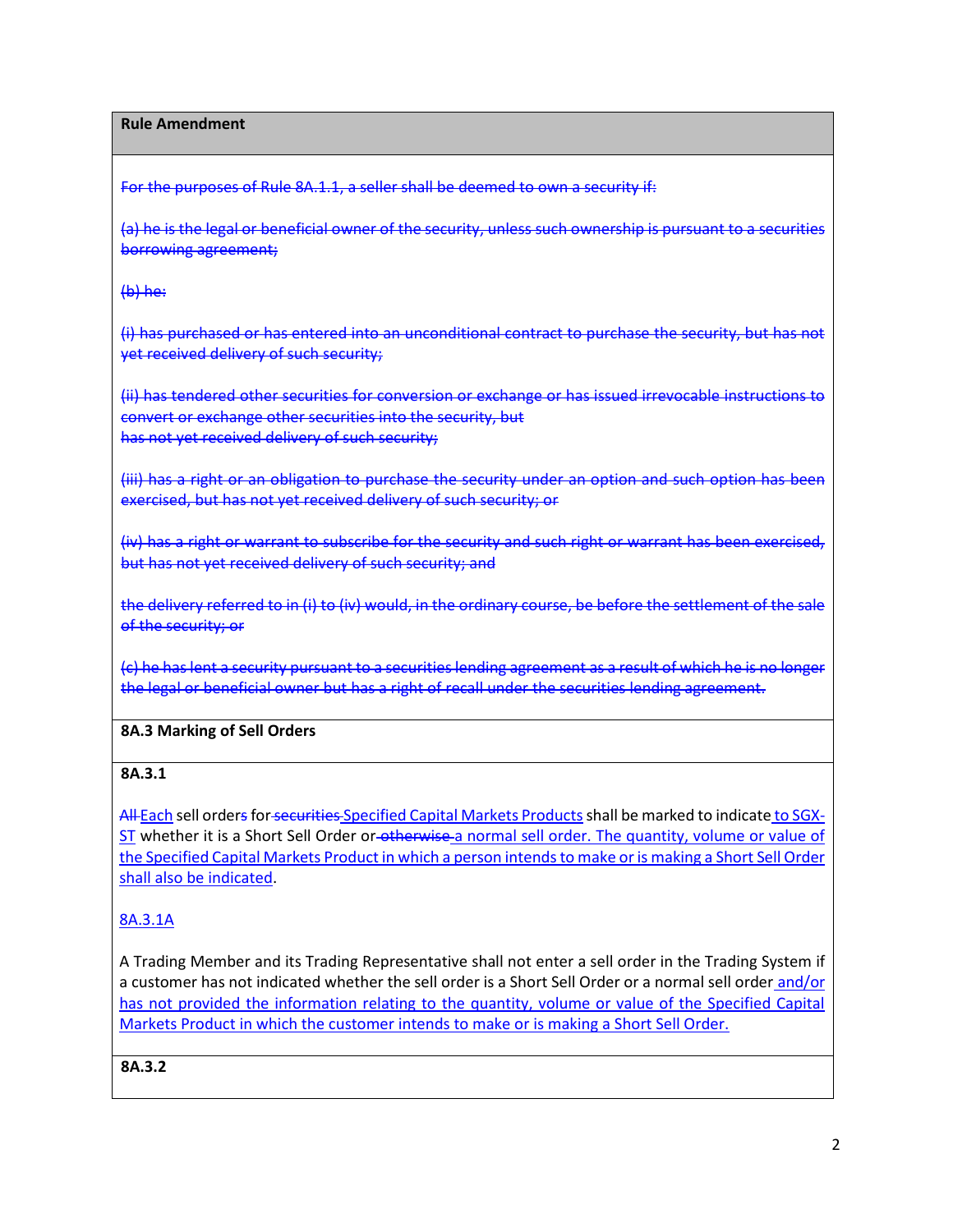**Rule Amendment**

For the purposes of Rule 8A.1.1, a seller shall be deemed to own a security if:

(a) he is the legal or beneficial owner of the security, unless such ownership is pursuant to a securities borrowing agreement;

 $(b)$  he:

(i) has purchased or has entered into an unconditional contract to purchase the security, but has not yet received delivery of such security;

(ii) has tendered other securities for conversion or exchange or has issued irrevocable instructions to convert or exchange other securities into the security, but has not yet received delivery of such security;

(iii) has a right or an obligation to purchase the security under an option and such option has been exercised, but has not yet received delivery of such security; or

(iv) has a right or warrant to subscribe for the security and such right or warrant has been exercised, but has not yet received delivery of such security; and

the delivery referred to in (i) to (iv) would, in the ordinary course, be before the settlement of the sale of the security; or

(c) he has lent a security pursuant to a securities lending agreement as a result of which he is no longer the legal or beneficial owner but has a right of recall under the securities lending agreement.

#### **8A.3 Marking of Sell Orders**

# **8A.3.1**

All Each sell orders for securities Specified Capital Markets Products shall be marked to indicate to SGX-ST whether it is a Short Sell Order or-otherwise a normal sell order. The quantity, volume or value of the Specified Capital Markets Product in which a person intends to make or is making a Short Sell Order shall also be indicated.

# 8A.3.1A

A Trading Member and its Trading Representative shall not enter a sell order in the Trading System if a customer has not indicated whether the sell order is a Short Sell Order or a normal sell order and/or has not provided the information relating to the quantity, volume or value of the Specified Capital Markets Product in which the customer intends to make or is making a Short Sell Order.

#### **8A.3.2**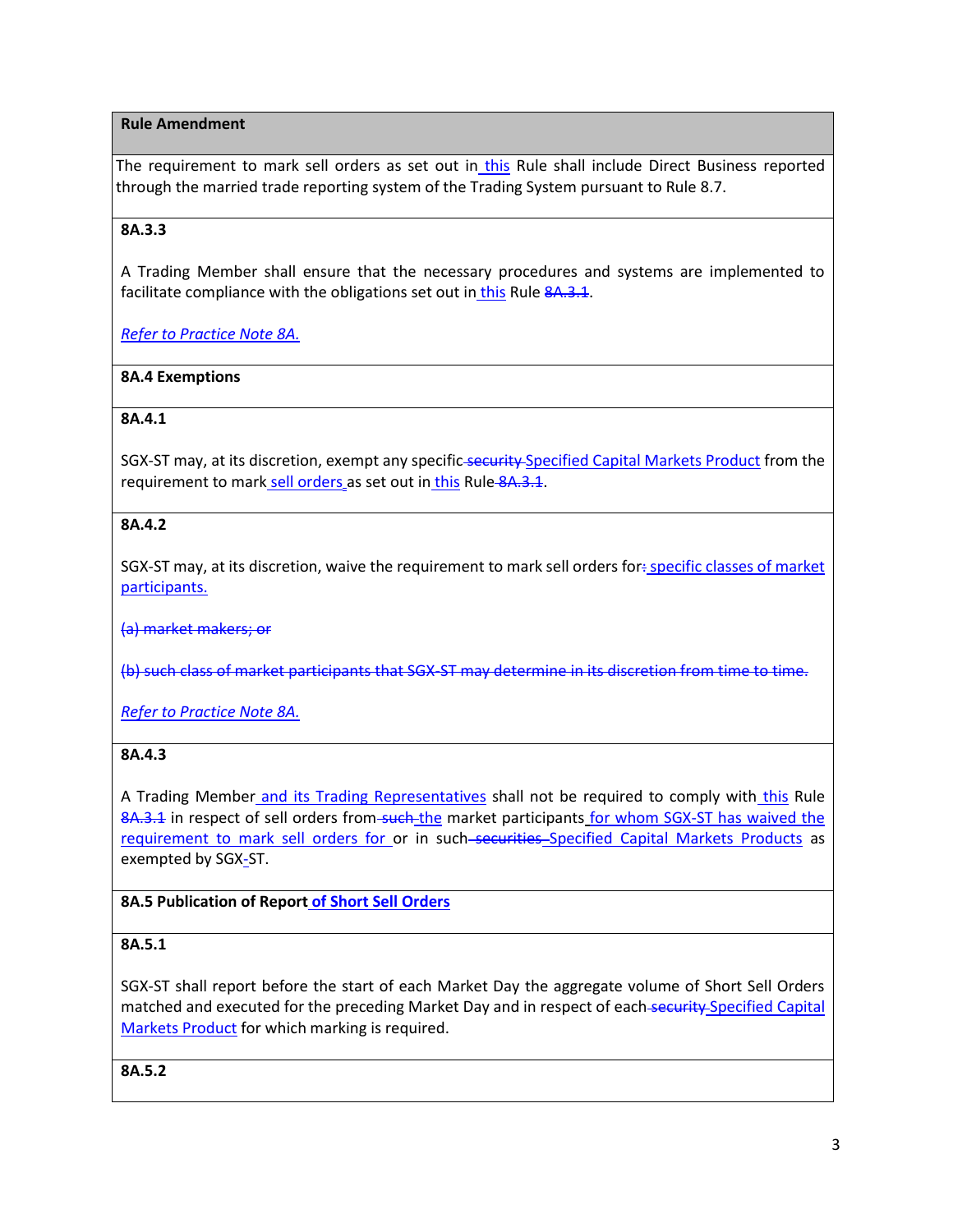# **Rule Amendment**

The requirement to mark sell orders as set out in this Rule shall include Direct Business reported through the married trade reporting system of the Trading System pursuant to Rule 8.7.

# **8A.3.3**

A Trading Member shall ensure that the necessary procedures and systems are implemented to facilitate compliance with the obligations set out in this Rule 8A.3.1.

*Refer to Practice Note 8A.*

# **8A.4 Exemptions**

# **8A.4.1**

SGX-ST may, at its discretion, exempt any specific-security-Specified Capital Markets Product from the requirement to mark sell orders as set out in this Rule 8A.3.1.

# **8A.4.2**

SGX-ST may, at its discretion, waive the requirement to mark sell orders for: specific classes of market participants.

(a) market makers; or

(b) such class of market participants that SGX-ST may determine in its discretion from time to time.

*Refer to Practice Note 8A.*

#### **8A.4.3**

A Trading Member and its Trading Representatives shall not be required to comply with this Rule 8A.3.1 in respect of sell orders from such the market participants for whom SGX-ST has waived the requirement to mark sell orders for or in such-securities-Specified Capital Markets Products as exempted by SGX-ST.

# **8A.5 Publication of Report of Short Sell Orders**

#### **8A.5.1**

SGX-ST shall report before the start of each Market Day the aggregate volume of Short Sell Orders matched and executed for the preceding Market Day and in respect of each-security Specified Capital Markets Product for which marking is required.

**8A.5.2**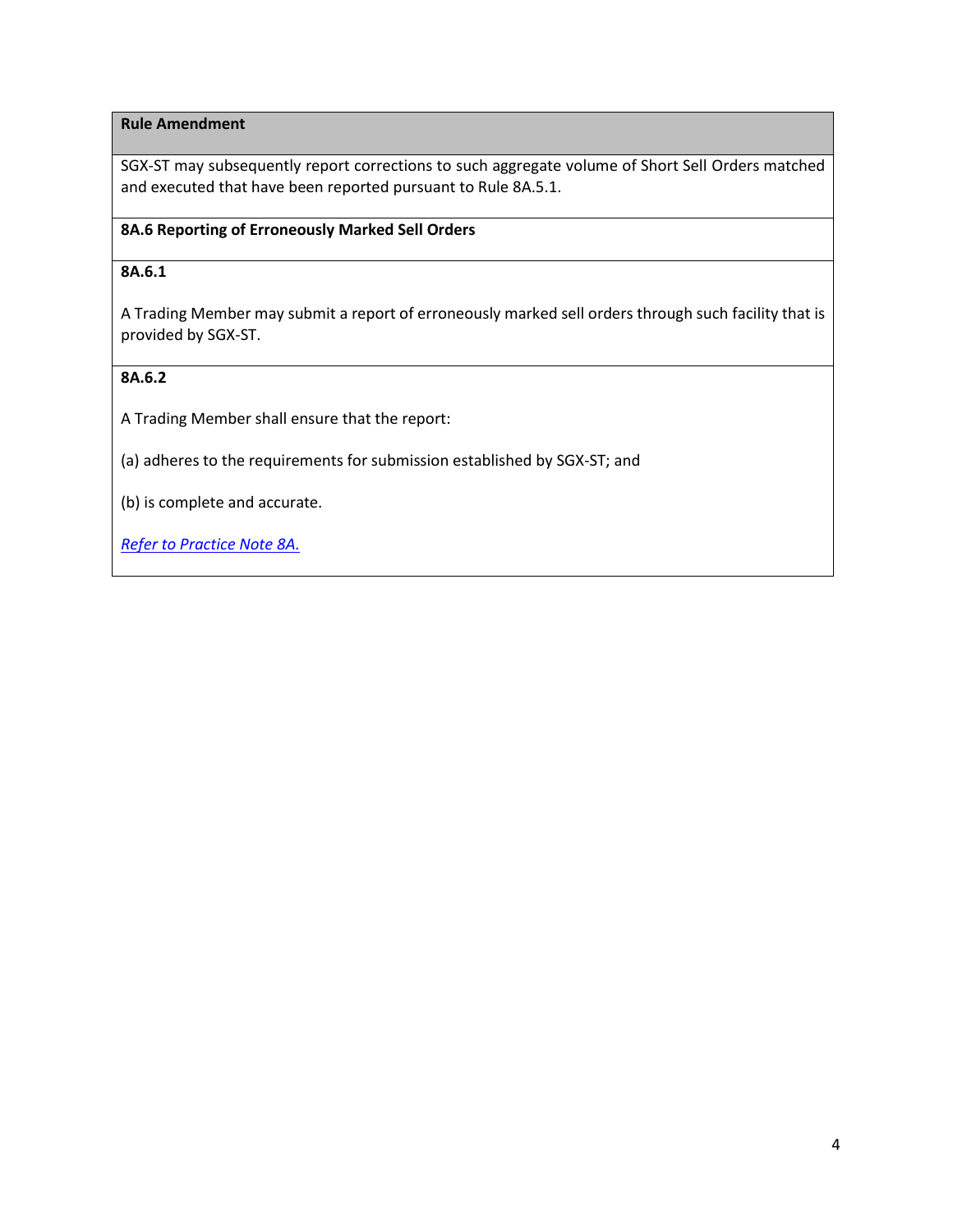# **Rule Amendment**

SGX-ST may subsequently report corrections to such aggregate volume of Short Sell Orders matched and executed that have been reported pursuant to Rule 8A.5.1.

# **8A.6 Reporting of Erroneously Marked Sell Orders**

## **8A.6.1**

A Trading Member may submit a report of erroneously marked sell orders through such facility that is provided by SGX-ST.

# **8A.6.2**

A Trading Member shall ensure that the report:

(a) adheres to the requirements for submission established by SGX-ST; and

(b) is complete and accurate.

*Refer to Practice Note 8A.*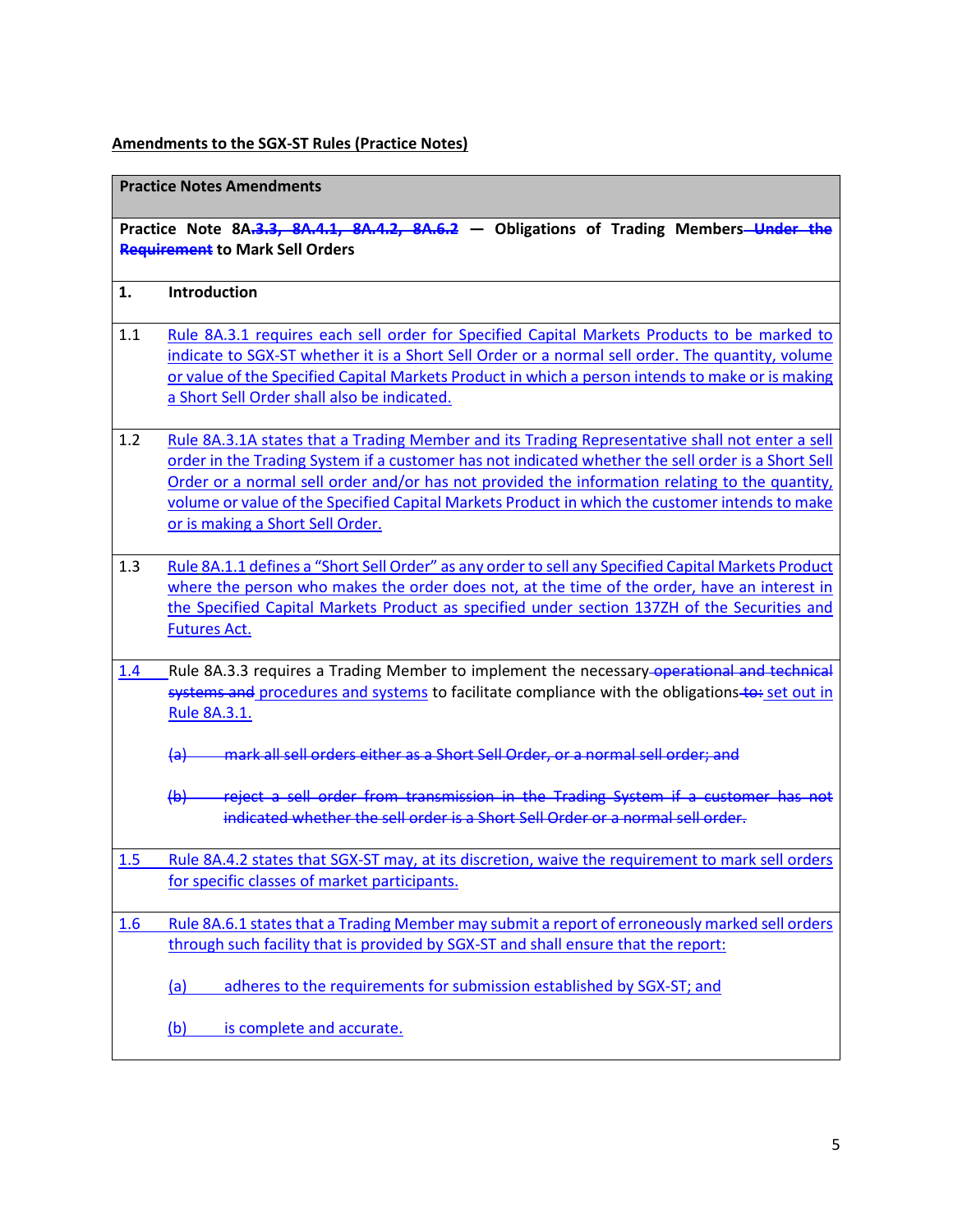# **Amendments to the SGX-ST Rules (Practice Notes)**

| <b>Practice Notes Amendments</b> |                                                                                                                                                                                                                                                                                                                                                                                                                                               |  |  |  |  |  |
|----------------------------------|-----------------------------------------------------------------------------------------------------------------------------------------------------------------------------------------------------------------------------------------------------------------------------------------------------------------------------------------------------------------------------------------------------------------------------------------------|--|--|--|--|--|
|                                  | Practice Note 8A.3.3, 8A.4.1, 8A.4.2, 8A.6.2 - Obligations of Trading Members-Under the<br><b>Requirement to Mark Sell Orders</b>                                                                                                                                                                                                                                                                                                             |  |  |  |  |  |
| 1.                               | Introduction                                                                                                                                                                                                                                                                                                                                                                                                                                  |  |  |  |  |  |
| 1.1                              | Rule 8A.3.1 requires each sell order for Specified Capital Markets Products to be marked to<br>indicate to SGX-ST whether it is a Short Sell Order or a normal sell order. The quantity, volume<br>or value of the Specified Capital Markets Product in which a person intends to make or is making<br>a Short Sell Order shall also be indicated.                                                                                            |  |  |  |  |  |
| 1.2                              | Rule 8A.3.1A states that a Trading Member and its Trading Representative shall not enter a sell<br>order in the Trading System if a customer has not indicated whether the sell order is a Short Sell<br>Order or a normal sell order and/or has not provided the information relating to the quantity,<br>volume or value of the Specified Capital Markets Product in which the customer intends to make<br>or is making a Short Sell Order. |  |  |  |  |  |
| 1.3                              | Rule 8A.1.1 defines a "Short Sell Order" as any order to sell any Specified Capital Markets Product<br>where the person who makes the order does not, at the time of the order, have an interest in<br>the Specified Capital Markets Product as specified under section 137ZH of the Securities and<br><b>Futures Act.</b>                                                                                                                    |  |  |  |  |  |
| 1.4                              | Rule 8A.3.3 requires a Trading Member to implement the necessary-operational and technical<br>systems and procedures and systems to facilitate compliance with the obligations-to: set out in<br>Rule 8A.3.1.                                                                                                                                                                                                                                 |  |  |  |  |  |
|                                  | mark all sell orders either as a Short Sell Order, or a normal sell order; and<br>$\left( a\right)$                                                                                                                                                                                                                                                                                                                                           |  |  |  |  |  |
|                                  | (b) reject a sell order from transmission in the Trading System if a customer has not<br>indicated whether the sell order is a Short Sell Order or a normal sell order.                                                                                                                                                                                                                                                                       |  |  |  |  |  |
| 1.5                              | Rule 8A.4.2 states that SGX-ST may, at its discretion, waive the requirement to mark sell orders<br>for specific classes of market participants.                                                                                                                                                                                                                                                                                              |  |  |  |  |  |
| 1.6                              | Rule 8A.6.1 states that a Trading Member may submit a report of erroneously marked sell orders<br>through such facility that is provided by SGX-ST and shall ensure that the report:                                                                                                                                                                                                                                                          |  |  |  |  |  |
|                                  | adheres to the requirements for submission established by SGX-ST; and<br><u>(a)</u><br>is complete and accurate.<br>(b)                                                                                                                                                                                                                                                                                                                       |  |  |  |  |  |
|                                  |                                                                                                                                                                                                                                                                                                                                                                                                                                               |  |  |  |  |  |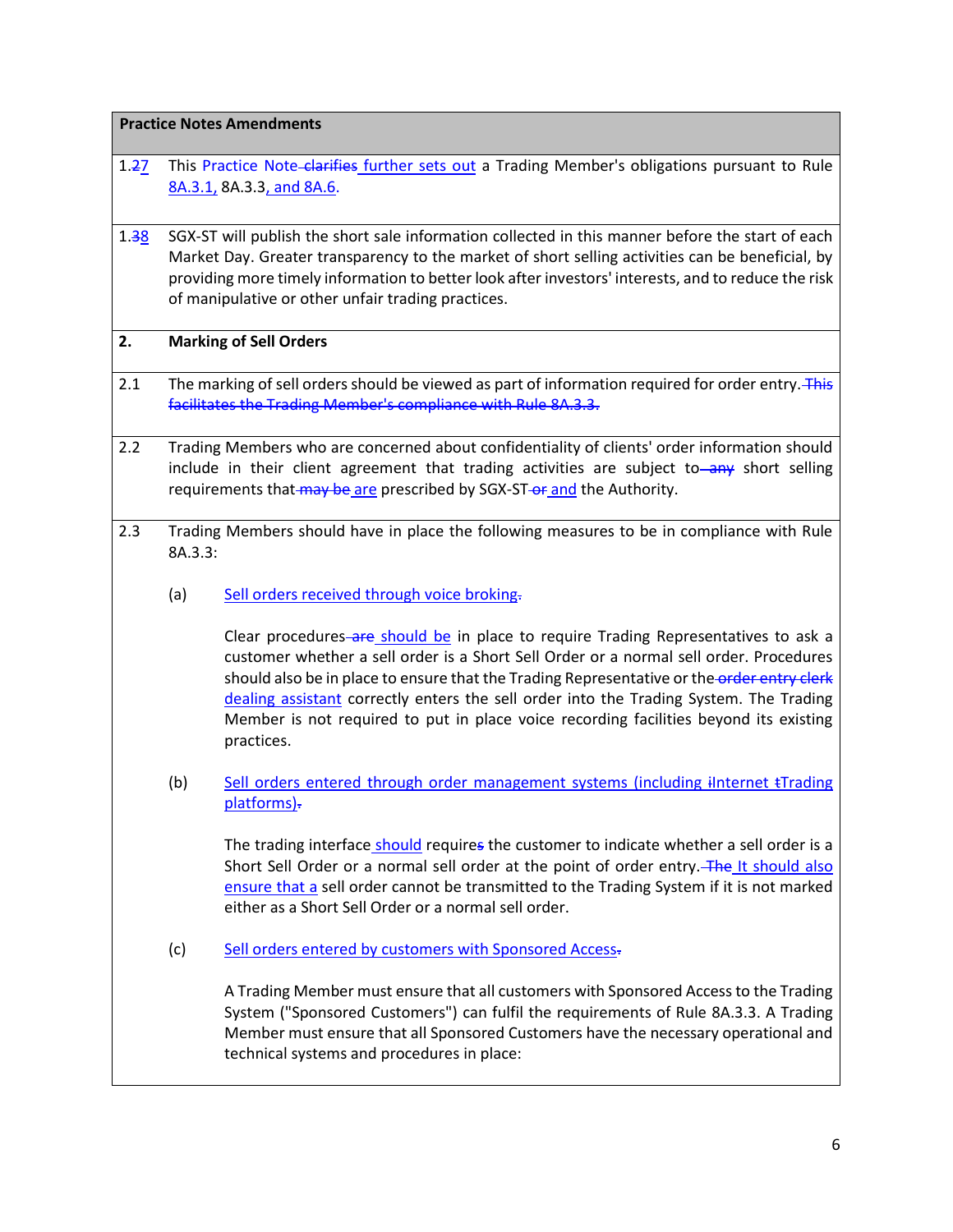**Practice Notes Amendments**

- 1.27 This Practice Note-clarifies further sets out a Trading Member's obligations pursuant to Rule 8A.3.1, 8A.3.3, and 8A.6.
- 1.38 SGX-ST will publish the short sale information collected in this manner before the start of each Market Day. Greater transparency to the market of short selling activities can be beneficial, by providing more timely information to better look after investors' interests, and to reduce the risk of manipulative or other unfair trading practices.

#### **2. Marking of Sell Orders**

- 2.1 The marking of sell orders should be viewed as part of information required for order entry. This facilitates the Trading Member's compliance with Rule 8A.3.3.
- 2.2 Trading Members who are concerned about confidentiality of clients' order information should include in their client agreement that trading activities are subject to—any short selling requirements that may be are prescribed by SGX-ST-or and the Authority.
- 2.3 Trading Members should have in place the following measures to be in compliance with Rule 8A.3.3:
	- (a) Sell orders received through voice broking.

Clear procedures are should be in place to require Trading Representatives to ask a customer whether a sell order is a Short Sell Order or a normal sell order. Procedures should also be in place to ensure that the Trading Representative or the order entry clerk dealing assistant correctly enters the sell order into the Trading System. The Trading Member is not required to put in place voice recording facilities beyond its existing practices.

(b) Sell orders entered through order management systems (including iInternet tTrading platforms).

The trading interface should requires the customer to indicate whether a sell order is a Short Sell Order or a normal sell order at the point of order entry. The It should also ensure that a sell order cannot be transmitted to the Trading System if it is not marked either as a Short Sell Order or a normal sell order.

(c) Sell orders entered by customers with Sponsored Access-

A Trading Member must ensure that all customers with Sponsored Access to the Trading System ("Sponsored Customers") can fulfil the requirements of Rule 8A.3.3. A Trading Member must ensure that all Sponsored Customers have the necessary operational and technical systems and procedures in place: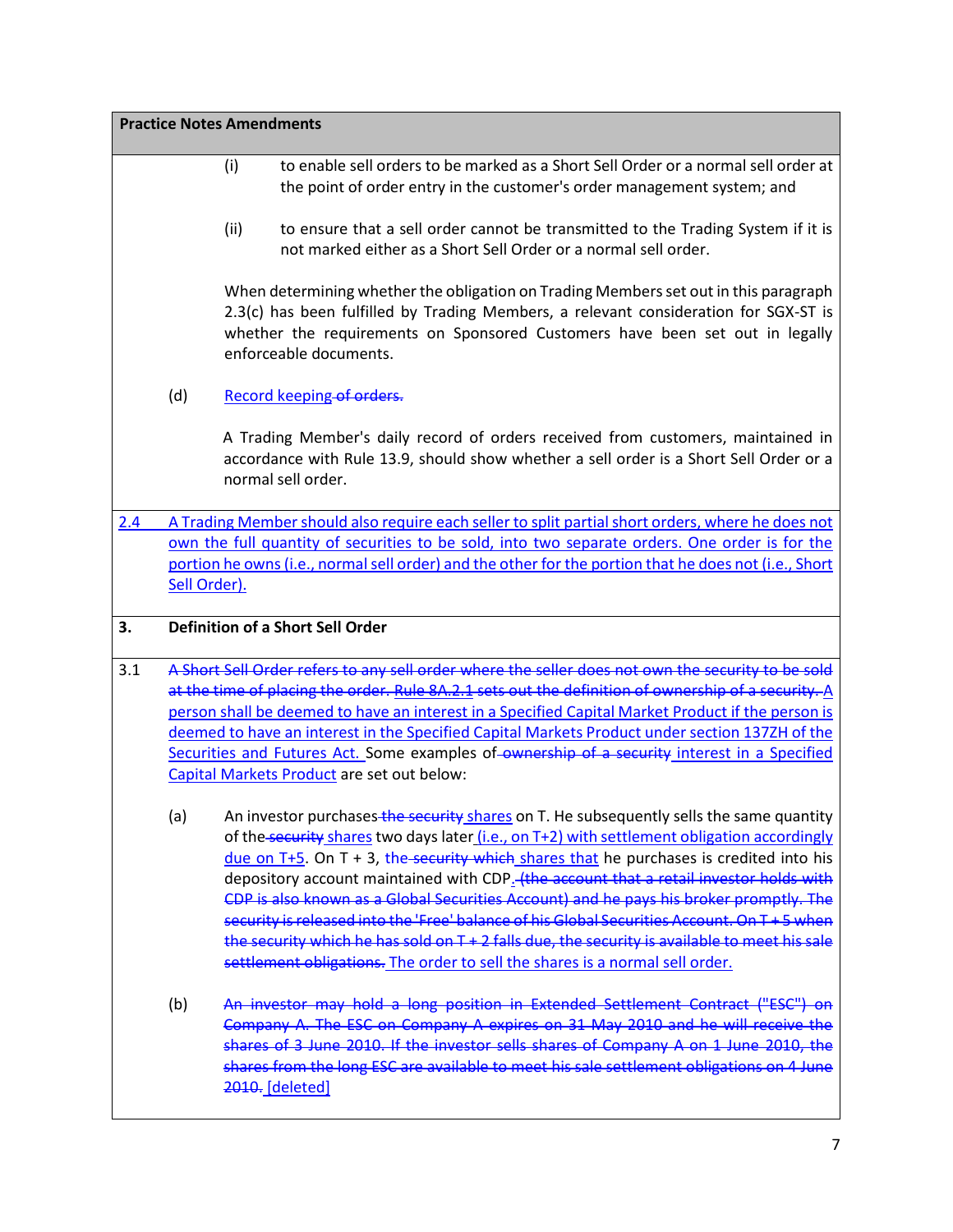|     |                                                                                                                                                                                                                                                                                                                                                                                                                                                                                                                                                               | <b>Practice Notes Amendments</b>                                                                                                                                                                                                                                                                                                                                                                                                                                                                                                                                                                                                                                                                                                                            |  |  |  |  |  |  |  |
|-----|---------------------------------------------------------------------------------------------------------------------------------------------------------------------------------------------------------------------------------------------------------------------------------------------------------------------------------------------------------------------------------------------------------------------------------------------------------------------------------------------------------------------------------------------------------------|-------------------------------------------------------------------------------------------------------------------------------------------------------------------------------------------------------------------------------------------------------------------------------------------------------------------------------------------------------------------------------------------------------------------------------------------------------------------------------------------------------------------------------------------------------------------------------------------------------------------------------------------------------------------------------------------------------------------------------------------------------------|--|--|--|--|--|--|--|
|     |                                                                                                                                                                                                                                                                                                                                                                                                                                                                                                                                                               | to enable sell orders to be marked as a Short Sell Order or a normal sell order at<br>(i)<br>the point of order entry in the customer's order management system; and                                                                                                                                                                                                                                                                                                                                                                                                                                                                                                                                                                                        |  |  |  |  |  |  |  |
|     |                                                                                                                                                                                                                                                                                                                                                                                                                                                                                                                                                               | (ii)<br>to ensure that a sell order cannot be transmitted to the Trading System if it is<br>not marked either as a Short Sell Order or a normal sell order.                                                                                                                                                                                                                                                                                                                                                                                                                                                                                                                                                                                                 |  |  |  |  |  |  |  |
|     | When determining whether the obligation on Trading Members set out in this paragraph<br>2.3(c) has been fulfilled by Trading Members, a relevant consideration for SGX-ST is<br>whether the requirements on Sponsored Customers have been set out in legally<br>enforceable documents.                                                                                                                                                                                                                                                                        |                                                                                                                                                                                                                                                                                                                                                                                                                                                                                                                                                                                                                                                                                                                                                             |  |  |  |  |  |  |  |
|     | (d)                                                                                                                                                                                                                                                                                                                                                                                                                                                                                                                                                           | Record keeping of orders.                                                                                                                                                                                                                                                                                                                                                                                                                                                                                                                                                                                                                                                                                                                                   |  |  |  |  |  |  |  |
|     |                                                                                                                                                                                                                                                                                                                                                                                                                                                                                                                                                               | A Trading Member's daily record of orders received from customers, maintained in<br>accordance with Rule 13.9, should show whether a sell order is a Short Sell Order or a<br>normal sell order.                                                                                                                                                                                                                                                                                                                                                                                                                                                                                                                                                            |  |  |  |  |  |  |  |
| 2.4 | A Trading Member should also require each seller to split partial short orders, where he does not<br>own the full quantity of securities to be sold, into two separate orders. One order is for the                                                                                                                                                                                                                                                                                                                                                           |                                                                                                                                                                                                                                                                                                                                                                                                                                                                                                                                                                                                                                                                                                                                                             |  |  |  |  |  |  |  |
|     | Sell Order).                                                                                                                                                                                                                                                                                                                                                                                                                                                                                                                                                  | portion he owns (i.e., normal sell order) and the other for the portion that he does not (i.e., Short                                                                                                                                                                                                                                                                                                                                                                                                                                                                                                                                                                                                                                                       |  |  |  |  |  |  |  |
| 3.  |                                                                                                                                                                                                                                                                                                                                                                                                                                                                                                                                                               | <b>Definition of a Short Sell Order</b>                                                                                                                                                                                                                                                                                                                                                                                                                                                                                                                                                                                                                                                                                                                     |  |  |  |  |  |  |  |
| 3.1 | A Short Sell Order refers to any sell order where the seller does not own the security to be sold<br>at the time of placing the order. Rule 8A.2.1 sets out the definition of ownership of a security. A<br>person shall be deemed to have an interest in a Specified Capital Market Product if the person is<br>deemed to have an interest in the Specified Capital Markets Product under section 137ZH of the<br>Securities and Futures Act. Some examples of ownership of a security interest in a Specified<br>Capital Markets Product are set out below: |                                                                                                                                                                                                                                                                                                                                                                                                                                                                                                                                                                                                                                                                                                                                                             |  |  |  |  |  |  |  |
|     | (a)                                                                                                                                                                                                                                                                                                                                                                                                                                                                                                                                                           | An investor purchases the security shares on T. He subsequently sells the same quantity<br>of the security shares two days later (i.e., on T+2) with settlement obligation accordingly<br>due on $T+5$ . On $T + 3$ , the security which shares that he purchases is credited into his<br>depository account maintained with CDP. (the account that a retail investor holds with<br>CDP is also known as a Global Securities Account) and he pays his broker promptly. The<br>security is released into the 'Free' balance of his Global Securities Account. On T + 5 when<br>the security which he has sold on T + 2 falls due, the security is available to meet his sale<br>settlement obligations. The order to sell the shares is a normal sell order. |  |  |  |  |  |  |  |
|     | (b)                                                                                                                                                                                                                                                                                                                                                                                                                                                                                                                                                           | An investor may hold a long position in Extended Settlement Contract ("ESC") on<br>Company A. The ESC on Company A expires on 31 May 2010 and he will receive the<br>shares of 3 June 2010. If the investor sells shares of Company A on 1 June 2010, the<br>shares from the long ESC are available to meet his sale settlement obligations on 4 June<br>2010. [deleted]                                                                                                                                                                                                                                                                                                                                                                                    |  |  |  |  |  |  |  |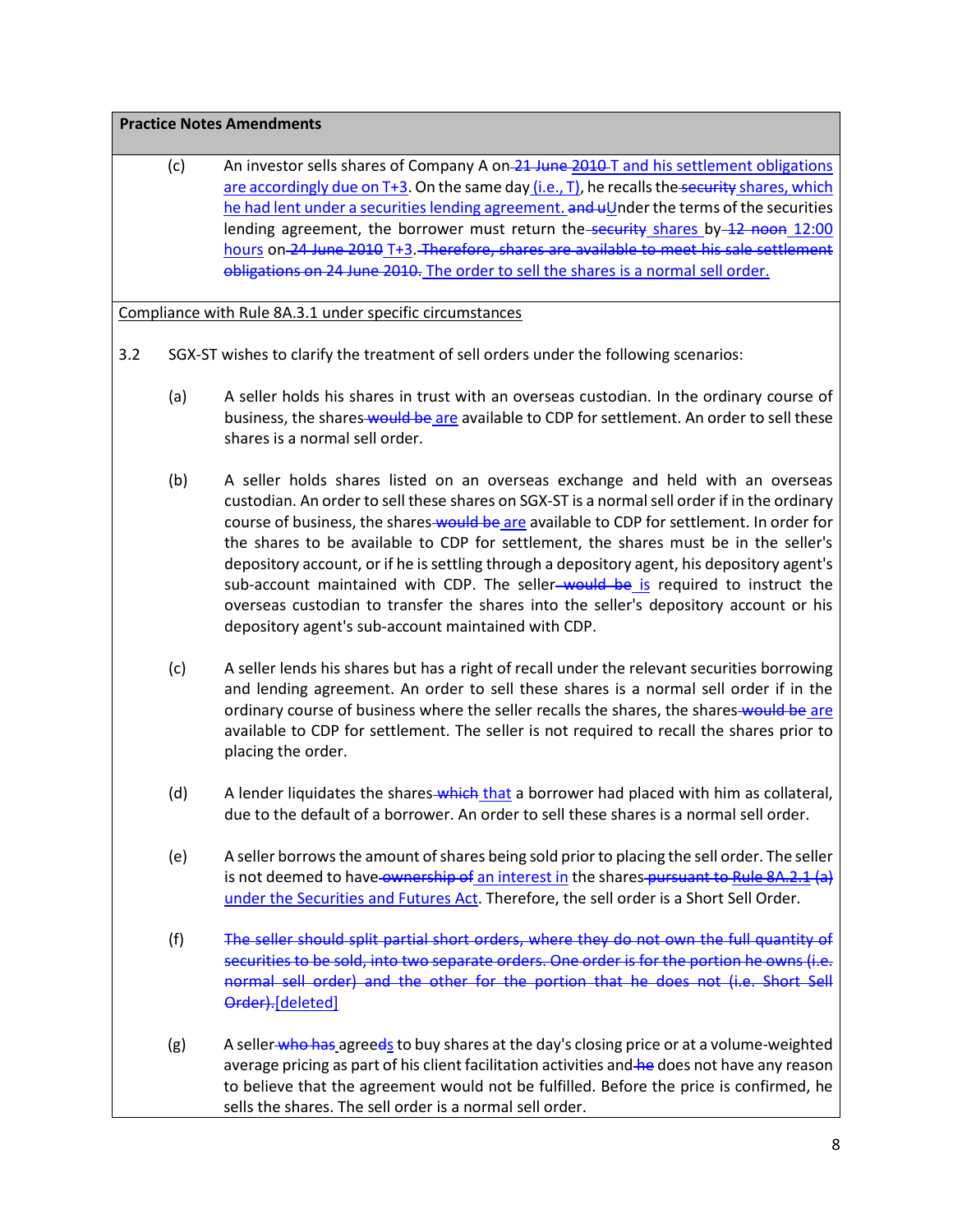# **Practice Notes Amendments**

(c) An investor sells shares of Company A on 21 June 2010 T and his settlement obligations are accordingly due on T+3. On the same day (i.e., T), he recalls the security shares, which he had lent under a securities lending agreement.  $\overline{and}$  uUnder the terms of the securities lending agreement, the borrower must return the security shares by  $42$  noon 12:00 hours on 24 June 2010 T+3. Therefore, shares are available to meet his sale settlement obligations on 24 June 2010. The order to sell the shares is a normal sell order.

Compliance with Rule 8A.3.1 under specific circumstances

- 3.2 SGX-ST wishes to clarify the treatment of sell orders under the following scenarios:
	- (a) A seller holds his shares in trust with an overseas custodian. In the ordinary course of business, the shares would be are available to CDP for settlement. An order to sell these shares is a normal sell order.
	- (b) A seller holds shares listed on an overseas exchange and held with an overseas custodian. An order to sell these shares on SGX-ST is a normal sell order if in the ordinary course of business, the shares would be are available to CDP for settlement. In order for the shares to be available to CDP for settlement, the shares must be in the seller's depository account, or if he is settling through a depository agent, his depository agent's sub-account maintained with CDP. The seller-would be is required to instruct the overseas custodian to transfer the shares into the seller's depository account or his depository agent's sub-account maintained with CDP.
	- (c) A seller lends his shares but has a right of recall under the relevant securities borrowing and lending agreement. An order to sell these shares is a normal sell order if in the ordinary course of business where the seller recalls the shares, the shares-would be are available to CDP for settlement. The seller is not required to recall the shares prior to placing the order.
	- (d) A lender liquidates the shares which that a borrower had placed with him as collateral, due to the default of a borrower. An order to sell these shares is a normal sell order.
	- (e) A seller borrows the amount of shares being sold prior to placing the sell order. The seller is not deemed to have ownership of an interest in the shares pursuant t[o Rule 8A.2.1](http://rulebook.sgx.com/en/display/display.html?rbid=3271&element_id=6078) (a) under the Securities and Futures Act. Therefore, the sell order is a Short Sell Order.
	- (f) The seller should split partial short orders, where they do not own the full quantity of securities to be sold, into two separate orders. One order is for the portion he owns (i.e. normal sell order) and the other for the portion that he does not (i.e. Short Sell Order).[deleted]
	- (g) A seller who has agreeds to buy shares at the day's closing price or at a volume-weighted average pricing as part of his client facilitation activities and he does not have any reason to believe that the agreement would not be fulfilled. Before the price is confirmed, he sells the shares. The sell order is a normal sell order.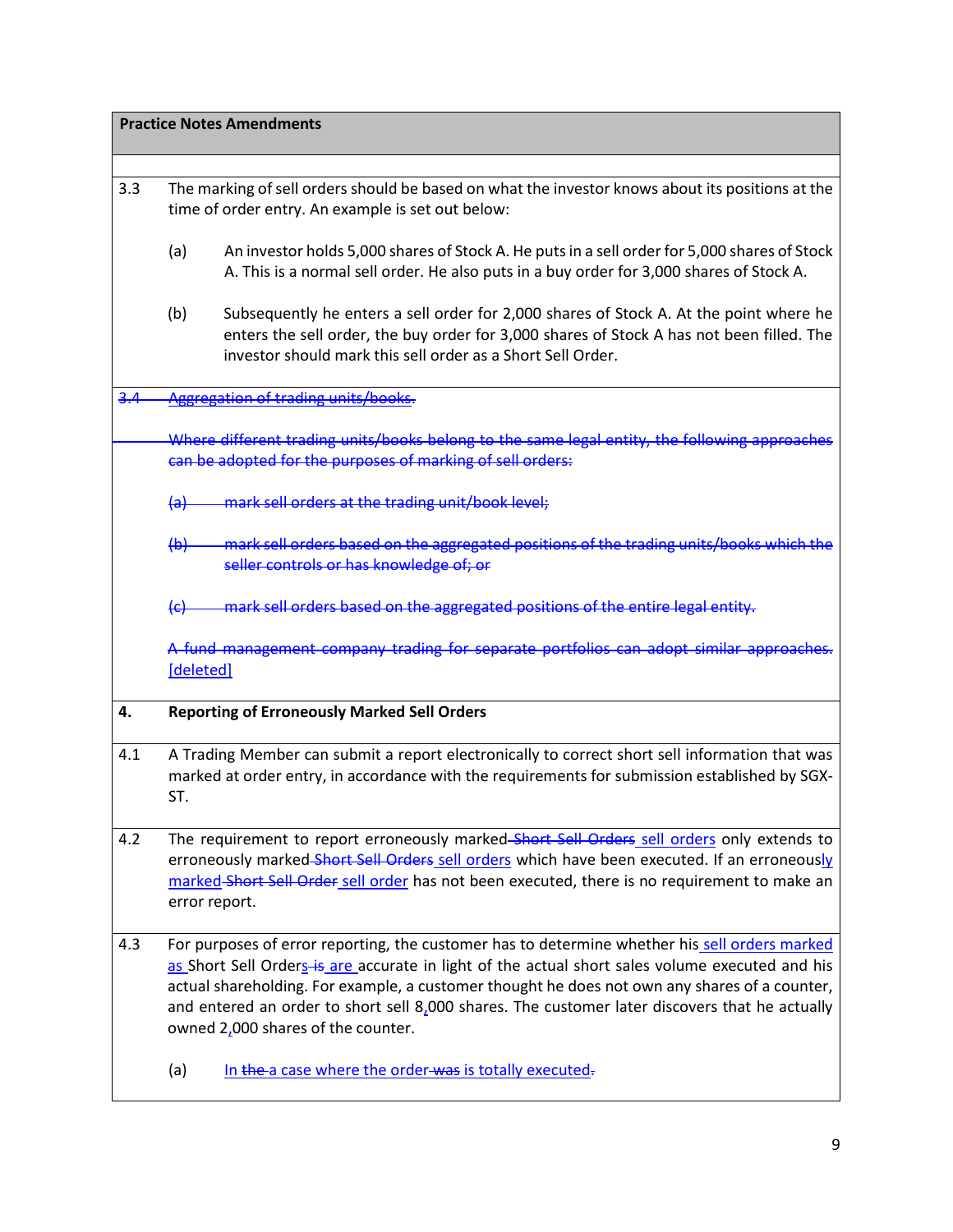|     | <b>Practice Notes Amendments</b>                                                                                                                                                                                                                                                                                                                                                                                                            |  |  |  |  |  |  |  |
|-----|---------------------------------------------------------------------------------------------------------------------------------------------------------------------------------------------------------------------------------------------------------------------------------------------------------------------------------------------------------------------------------------------------------------------------------------------|--|--|--|--|--|--|--|
|     |                                                                                                                                                                                                                                                                                                                                                                                                                                             |  |  |  |  |  |  |  |
| 3.3 | The marking of sell orders should be based on what the investor knows about its positions at the<br>time of order entry. An example is set out below:                                                                                                                                                                                                                                                                                       |  |  |  |  |  |  |  |
|     | (a)<br>An investor holds 5,000 shares of Stock A. He puts in a sell order for 5,000 shares of Stock<br>A. This is a normal sell order. He also puts in a buy order for 3,000 shares of Stock A.                                                                                                                                                                                                                                             |  |  |  |  |  |  |  |
|     | (b)<br>Subsequently he enters a sell order for 2,000 shares of Stock A. At the point where he<br>enters the sell order, the buy order for 3,000 shares of Stock A has not been filled. The<br>investor should mark this sell order as a Short Sell Order.                                                                                                                                                                                   |  |  |  |  |  |  |  |
| 3.4 | Aggregation of trading units/books.                                                                                                                                                                                                                                                                                                                                                                                                         |  |  |  |  |  |  |  |
|     | Where different trading units/books belong to the same legal entity, the following approaches<br>can be adopted for the purposes of marking of sell orders:                                                                                                                                                                                                                                                                                 |  |  |  |  |  |  |  |
|     | mark sell orders at the trading unit/book level;<br><del>(a)</del>                                                                                                                                                                                                                                                                                                                                                                          |  |  |  |  |  |  |  |
|     | (b) mark sell orders based on the aggregated positions of the trading units/books which the<br>seller controls or has knowledge of; or                                                                                                                                                                                                                                                                                                      |  |  |  |  |  |  |  |
|     | mark sell orders based on the aggregated positions of the entire legal entity.<br>$\left\{ \epsilon \right\}$                                                                                                                                                                                                                                                                                                                               |  |  |  |  |  |  |  |
|     | A fund management company trading for separate portfolios can adopt similar approaches.<br>[deleted]                                                                                                                                                                                                                                                                                                                                        |  |  |  |  |  |  |  |
| 4.  | <b>Reporting of Erroneously Marked Sell Orders</b>                                                                                                                                                                                                                                                                                                                                                                                          |  |  |  |  |  |  |  |
| 4.1 | A Trading Member can submit a report electronically to correct short sell information that was<br>marked at order entry, in accordance with the requirements for submission established by SGX-<br>ST.                                                                                                                                                                                                                                      |  |  |  |  |  |  |  |
| 4.2 | The requirement to report erroneously marked Short Sell Orders sell orders only extends to<br>erroneously marked-Short Sell Orders sell orders which have been executed. If an erroneously<br>marked-Short Sell Order sell order has not been executed, there is no requirement to make an<br>error report.                                                                                                                                 |  |  |  |  |  |  |  |
| 4.3 | For purposes of error reporting, the customer has to determine whether his sell orders marked<br>as Short Sell Orders is are accurate in light of the actual short sales volume executed and his<br>actual shareholding. For example, a customer thought he does not own any shares of a counter,<br>and entered an order to short sell $8,000$ shares. The customer later discovers that he actually<br>owned 2,000 shares of the counter. |  |  |  |  |  |  |  |
|     | (a)<br>In the a case where the order-was is totally executed-                                                                                                                                                                                                                                                                                                                                                                               |  |  |  |  |  |  |  |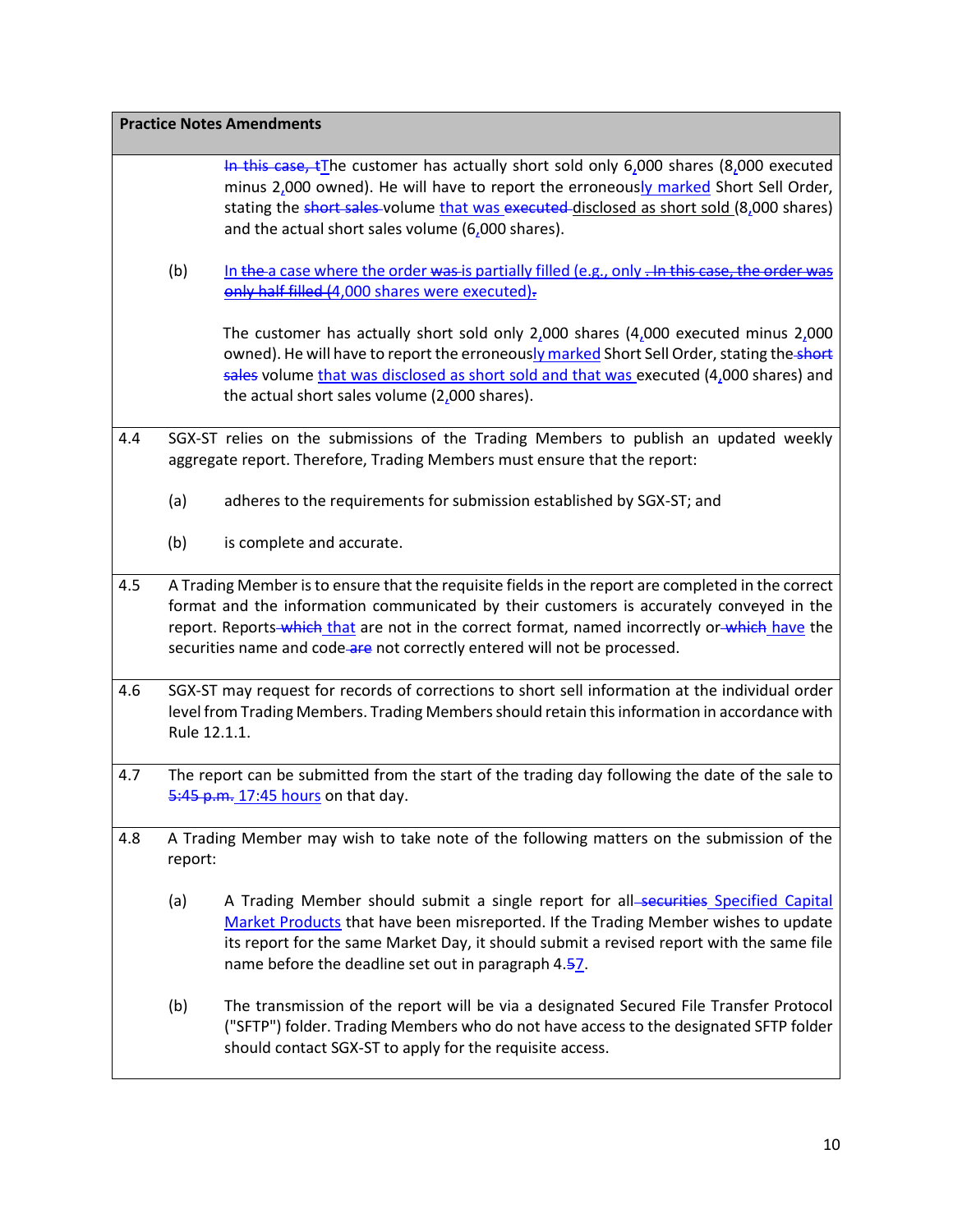|     |                                                                                                                                                                                                                  | <b>Practice Notes Amendments</b>                                                                                                                                                                                                                                                                                                                                             |  |  |  |  |  |  |  |
|-----|------------------------------------------------------------------------------------------------------------------------------------------------------------------------------------------------------------------|------------------------------------------------------------------------------------------------------------------------------------------------------------------------------------------------------------------------------------------------------------------------------------------------------------------------------------------------------------------------------|--|--|--|--|--|--|--|
|     |                                                                                                                                                                                                                  | In this case, $tI$ he customer has actually short sold only 6,000 shares (8,000 executed<br>minus 2,000 owned). He will have to report the erroneously marked Short Sell Order,<br>stating the short sales-volume that was executed-disclosed as short sold (8,000 shares)<br>and the actual short sales volume (6,000 shares).                                              |  |  |  |  |  |  |  |
|     | (b)                                                                                                                                                                                                              | In the a case where the order was is partially filled (e.g., only - In this case, the order was<br>only half filled (4,000 shares were executed).                                                                                                                                                                                                                            |  |  |  |  |  |  |  |
|     |                                                                                                                                                                                                                  | The customer has actually short sold only $2,000$ shares ( $4,000$ executed minus $2,000$<br>owned). He will have to report the erroneously marked Short Sell Order, stating the short<br>sales volume that was disclosed as short sold and that was executed $(4,000$ shares) and<br>the actual short sales volume (2,000 shares).                                          |  |  |  |  |  |  |  |
| 4.4 | SGX-ST relies on the submissions of the Trading Members to publish an updated weekly<br>aggregate report. Therefore, Trading Members must ensure that the report:                                                |                                                                                                                                                                                                                                                                                                                                                                              |  |  |  |  |  |  |  |
|     | (a)<br>adheres to the requirements for submission established by SGX-ST; and                                                                                                                                     |                                                                                                                                                                                                                                                                                                                                                                              |  |  |  |  |  |  |  |
|     | (b)                                                                                                                                                                                                              | is complete and accurate.                                                                                                                                                                                                                                                                                                                                                    |  |  |  |  |  |  |  |
| 4.5 |                                                                                                                                                                                                                  | A Trading Member is to ensure that the requisite fields in the report are completed in the correct<br>format and the information communicated by their customers is accurately conveyed in the<br>report. Reports-which that are not in the correct format, named incorrectly or-which have the<br>securities name and code-are not correctly entered will not be processed. |  |  |  |  |  |  |  |
| 4.6 | SGX-ST may request for records of corrections to short sell information at the individual order<br>level from Trading Members. Trading Members should retain this information in accordance with<br>Rule 12.1.1. |                                                                                                                                                                                                                                                                                                                                                                              |  |  |  |  |  |  |  |
| 4.7 |                                                                                                                                                                                                                  | The report can be submitted from the start of the trading day following the date of the sale to<br>5:45 p.m. 17:45 hours on that day.                                                                                                                                                                                                                                        |  |  |  |  |  |  |  |
| 4.8 | report:                                                                                                                                                                                                          | A Trading Member may wish to take note of the following matters on the submission of the                                                                                                                                                                                                                                                                                     |  |  |  |  |  |  |  |
|     | (a)                                                                                                                                                                                                              | A Trading Member should submit a single report for all-securities Specified Capital<br>Market Products that have been misreported. If the Trading Member wishes to update<br>its report for the same Market Day, it should submit a revised report with the same file<br>name before the deadline set out in paragraph 4.57.                                                 |  |  |  |  |  |  |  |
|     | (b)                                                                                                                                                                                                              | The transmission of the report will be via a designated Secured File Transfer Protocol<br>("SFTP") folder. Trading Members who do not have access to the designated SFTP folder<br>should contact SGX-ST to apply for the requisite access.                                                                                                                                  |  |  |  |  |  |  |  |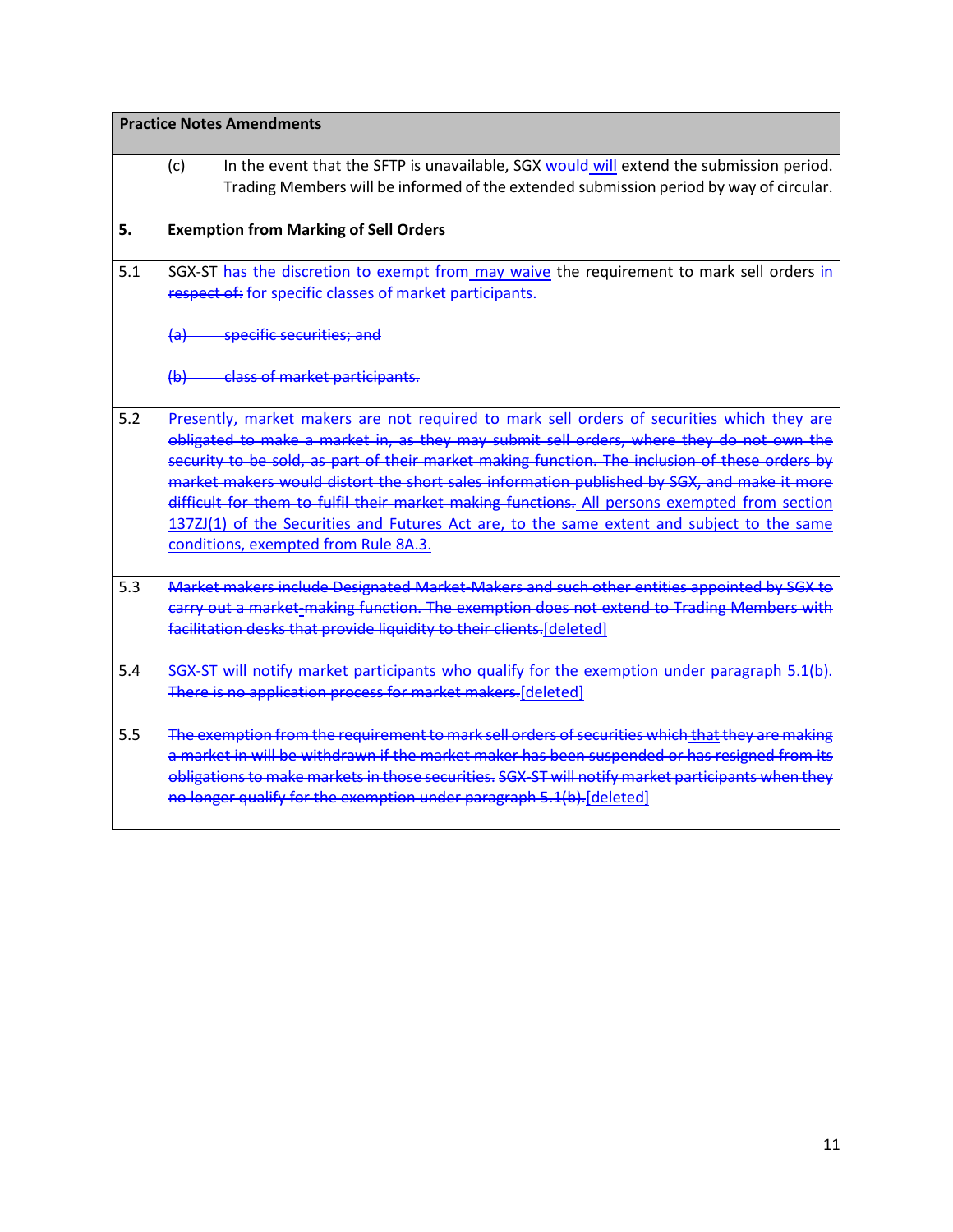# **Practice Notes Amendments**

|     | In the event that the SFTP is unavailable, SGX-would will extend the submission period.<br>(c)<br>Trading Members will be informed of the extended submission period by way of circular.                                                                                                                                                                                                                                                                                                                                                                                                                                      |  |
|-----|-------------------------------------------------------------------------------------------------------------------------------------------------------------------------------------------------------------------------------------------------------------------------------------------------------------------------------------------------------------------------------------------------------------------------------------------------------------------------------------------------------------------------------------------------------------------------------------------------------------------------------|--|
| 5.  | <b>Exemption from Marking of Sell Orders</b>                                                                                                                                                                                                                                                                                                                                                                                                                                                                                                                                                                                  |  |
| 5.1 | SGX-ST-has the discretion to exempt from may waive the requirement to mark sell orders-in<br>respect of: for specific classes of market participants.                                                                                                                                                                                                                                                                                                                                                                                                                                                                         |  |
|     | specific securities; and<br><del>(a)</del>                                                                                                                                                                                                                                                                                                                                                                                                                                                                                                                                                                                    |  |
|     | (b) class of market participants.                                                                                                                                                                                                                                                                                                                                                                                                                                                                                                                                                                                             |  |
| 5.2 | Presently, market makers are not required to mark sell orders of securities which they are<br>obligated to make a market in, as they may submit sell orders, where they do not own the<br>security to be sold, as part of their market making function. The inclusion of these orders by<br>market makers would distort the short sales information published by SGX, and make it more<br>difficult for them to fulfil their market making functions. All persons exempted from section<br>137ZJ(1) of the Securities and Futures Act are, to the same extent and subject to the same<br>conditions, exempted from Rule 8A.3. |  |
| 5.3 | Market makers include Designated Market-Makers and such other entities appointed by SGX to<br>carry out a market-making function. The exemption does not extend to Trading Members with<br>facilitation desks that provide liquidity to their clients.[deleted]                                                                                                                                                                                                                                                                                                                                                               |  |
| 5.4 | SGX-ST will notify market participants who qualify for the exemption under paragraph 5.1(b).<br>There is no application process for market makers.[deleted]                                                                                                                                                                                                                                                                                                                                                                                                                                                                   |  |
| 5.5 | The exemption from the requirement to mark sell orders of securities which that they are making<br>a market in will be withdrawn if the market maker has been suspended or has resigned from its<br>obligations to make markets in those securities. SGX-ST will notify market participants when they<br>no longer qualify for the exemption under paragraph 5.1(b). [deleted]                                                                                                                                                                                                                                                |  |